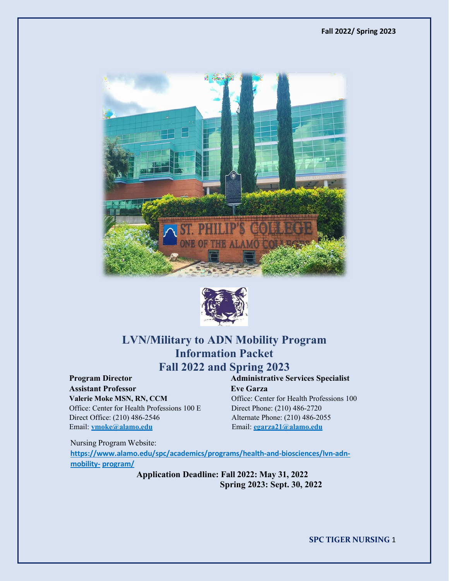



# **LVN/Military to ADN Mobility Program Information Packet Fall 2022 and Spring 2023**

**Program Director Administrative Services Specialist Assistant Professor Eve Garza Valerie Moke MSN, RN, CCM** Office: Center for Health Professions 100 Office: Center for Health Professions 100 E Direct Phone: (210) 486-2720<br>Direct Office: (210) 486-2546 Alternate Phone: (210) 486-20

Alternate Phone: (210) 486-2055 Email: **vmoke@alamo.edu** Email: **egarza21@alamo.edu**

Nursing Program Website: **[https://www.alamo.edu/spc/academics/programs/health-and-biosciences/lvn-adn](https://www.alamo.edu/spc/academics/programs/health-and-biosciences/lvn-adn-mobility-program/)[mobility-](https://www.alamo.edu/spc/academics/programs/health-and-biosciences/lvn-adn-mobility-program/) [program/](https://www.alamo.edu/spc/academics/programs/health-and-biosciences/lvn-adn-mobility-program/)**

> **Application Deadline: Fall 2022: May 31, 2022 Spring 2023: Sept. 30, 2022**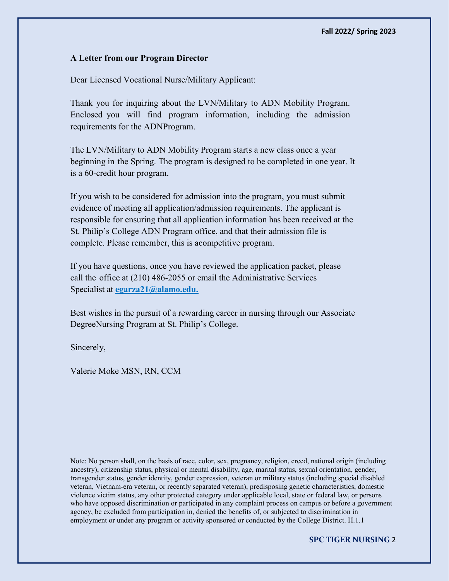#### **A Letter from our Program Director**

Dear Licensed Vocational Nurse/Military Applicant:

Thank you for inquiring about the LVN/Military to ADN Mobility Program. Enclosed you will find program information, including the admission requirements for the ADNProgram.

The LVN/Military to ADN Mobility Program starts a new class once a year beginning in the Spring. The program is designed to be completed in one year. It is a 60-credit hour program.

If you wish to be considered for admission into the program, you must submit evidence of meeting all application/admission requirements. The applicant is responsible for ensuring that all application information has been received at the St. Philip's College ADN Program office, and that their admission file is complete. Please remember, this is acompetitive program.

If you have questions, once you have reviewed the application packet, please call the office at (210) 486-2055 or email the Administrative Services Specialist at **[egarza21@alamo.edu.](mailto:egarza21@alamo.edu)**

Best wishes in the pursuit of a rewarding career in nursing through our Associate DegreeNursing Program at St. Philip's College.

Sincerely,

Valerie Moke MSN, RN, CCM

Note: No person shall, on the basis of race, color, sex, pregnancy, religion, creed, national origin (including ancestry), citizenship status, physical or mental disability, age, marital status, sexual orientation, gender, transgender status, gender identity, gender expression, veteran or military status (including special disabled veteran, Vietnam-era veteran, or recently separated veteran), predisposing genetic characteristics, domestic violence victim status, any other protected category under applicable local, state or federal law, or persons who have opposed discrimination or participated in any complaint process on campus or before a government agency, be excluded from participation in, denied the benefits of, or subjected to discrimination in employment or under any program or activity sponsored or conducted by the College District. H.1.1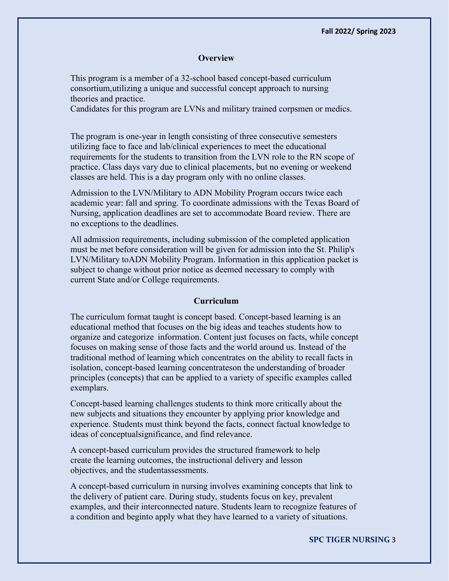#### **Overview**

This program is a member of a 32-school based concept-based curriculum consortium,utilizing a unique and successful concept approach to nursing theories and practice.

Candidates for this program are LVNs and military trained corpsmen or medics.

The program is one-year in length consisting of three consecutive semesters utilizing face to face and lab/clinical experiences to meet the educational requirements for the students to transition from the LVN role to the RN scope of practice. Class days vary due to clinical placements, but no evening or weekend classes are held. This is a day program only with no online classes.

Admission to the LVN/Military to ADN Mobility Program occurs twice each academic year: fall and spring. To coordinate admissions with the Texas Board of Nursing, application deadlines are set to accommodate Board review. There are no exceptions to the deadlines.

All admission requirements, including submission of the completed application must be met before consideration will be given for admission into the St. Philip's LVN/Military toADN Mobility Program. Information in this application packet is subject to change without prior notice as deemed necessary to comply with current State and/or College requirements.

#### **Curriculum**

The curriculum format taught is concept based. Concept-based learning is an educational method that focuses on the big ideas and teaches students how to organize and categorize information. Content just focuses on facts, while concept focuses on making sense of those facts and the world around us. Instead of the traditional method of learning which concentrates on the ability to recall facts in isolation, concept-based learning concentrateson the understanding of broader principles (concepts) that can be applied to a variety of specific examples called exemplars.

Concept-based learning challenges students to think more critically about the new subjects and situations they encounter by applying prior knowledge and experience. Students must think beyond the facts, connect factual knowledge to ideas of conceptualsignificance, and find relevance.

A concept-based curriculum provides the structured framework to help create the learning outcomes, the instructional delivery and lesson objectives, and the studentassessments.

A concept-based curriculum in nursing involves examining concepts that link to the delivery of patient care. During study, students focus on key, prevalent examples, and their interconnected nature. Students learn to recognize features of a condition and beginto apply what they have learned to a variety of situations.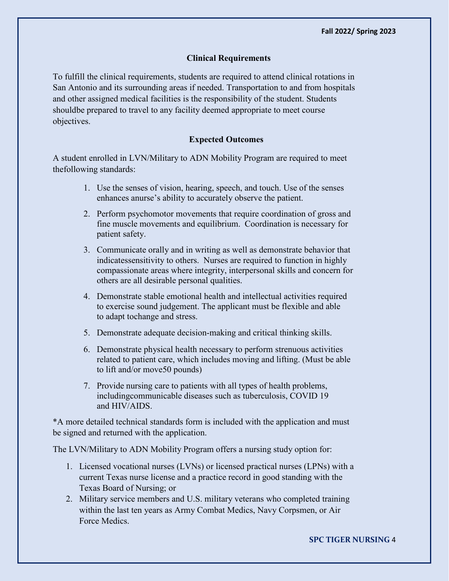## **Clinical Requirements**

To fulfill the clinical requirements, students are required to attend clinical rotations in San Antonio and its surrounding areas if needed. Transportation to and from hospitals and other assigned medical facilities is the responsibility of the student. Students shouldbe prepared to travel to any facility deemed appropriate to meet course objectives.

# **Expected Outcomes**

A student enrolled in LVN/Military to ADN Mobility Program are required to meet thefollowing standards:

- 1. Use the senses of vision, hearing, speech, and touch. Use of the senses enhances anurse's ability to accurately observe the patient.
- 2. Perform psychomotor movements that require coordination of gross and fine muscle movements and equilibrium. Coordination is necessary for patient safety.
- 3. Communicate orally and in writing as well as demonstrate behavior that indicatessensitivity to others. Nurses are required to function in highly compassionate areas where integrity, interpersonal skills and concern for others are all desirable personal qualities.
- 4. Demonstrate stable emotional health and intellectual activities required to exercise sound judgement. The applicant must be flexible and able to adapt tochange and stress.
- 5. Demonstrate adequate decision-making and critical thinking skills.
- 6. Demonstrate physical health necessary to perform strenuous activities related to patient care, which includes moving and lifting. (Must be able to lift and/or move50 pounds)
- 7. Provide nursing care to patients with all types of health problems, includingcommunicable diseases such as tuberculosis, COVID 19 and HIV/AIDS.

\*A more detailed technical standards form is included with the application and must be signed and returned with the application.

The LVN/Military to ADN Mobility Program offers a nursing study option for:

- 1. Licensed vocational nurses (LVNs) or licensed practical nurses (LPNs) with a current Texas nurse license and a practice record in good standing with the Texas Board of Nursing; or
- 2. Military service members and U.S. military veterans who completed training within the last ten years as Army Combat Medics, Navy Corpsmen, or Air Force Medics.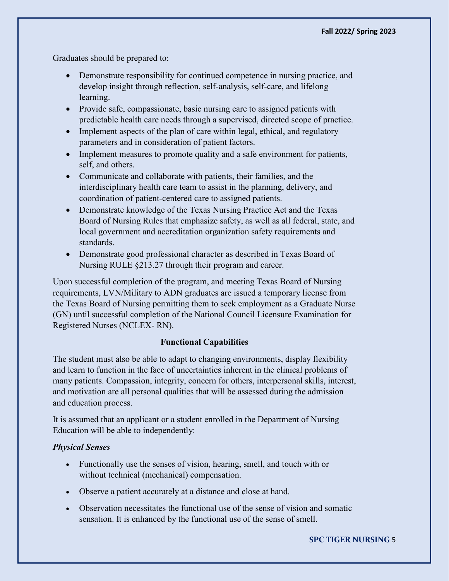Graduates should be prepared to:

- Demonstrate responsibility for continued competence in nursing practice, and develop insight through reflection, self-analysis, self-care, and lifelong learning.
- Provide safe, compassionate, basic nursing care to assigned patients with predictable health care needs through a supervised, directed scope of practice.
- Implement aspects of the plan of care within legal, ethical, and regulatory parameters and in consideration of patient factors.
- Implement measures to promote quality and a safe environment for patients, self, and others.
- Communicate and collaborate with patients, their families, and the interdisciplinary health care team to assist in the planning, delivery, and coordination of patient-centered care to assigned patients.
- Demonstrate knowledge of the Texas Nursing Practice Act and the Texas Board of Nursing Rules that emphasize safety, as well as all federal, state, and local government and accreditation organization safety requirements and standards.
- Demonstrate good professional character as described in Texas Board of Nursing RULE §213.27 through their program and career.

Upon successful completion of the program, and meeting Texas Board of Nursing requirements, LVN/Military to ADN graduates are issued a temporary license from the Texas Board of Nursing permitting them to seek employment as a Graduate Nurse (GN) until successful completion of the National Council Licensure Examination for Registered Nurses (NCLEX- RN).

## **Functional Capabilities**

The student must also be able to adapt to changing environments, display flexibility and learn to function in the face of uncertainties inherent in the clinical problems of many patients. Compassion, integrity, concern for others, interpersonal skills, interest, and motivation are all personal qualities that will be assessed during the admission and education process.

It is assumed that an applicant or a student enrolled in the Department of Nursing Education will be able to independently:

## *Physical Senses*

- Functionally use the senses of vision, hearing, smell, and touch with or without technical (mechanical) compensation.
- Observe a patient accurately at a distance and close at hand.
- Observation necessitates the functional use of the sense of vision and somatic sensation. It is enhanced by the functional use of the sense of smell.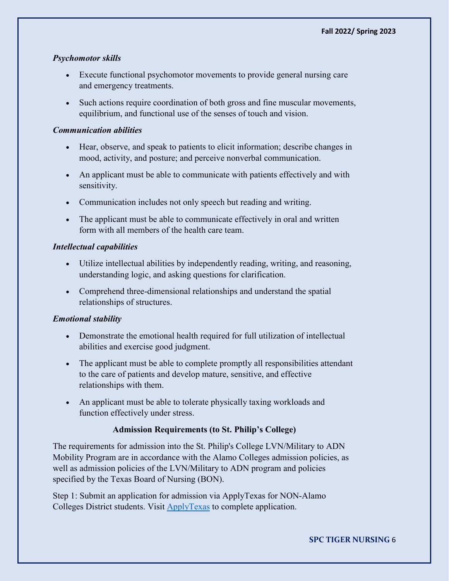# *Psychomotor skills*

- Execute functional psychomotor movements to provide general nursing care and emergency treatments.
- Such actions require coordination of both gross and fine muscular movements, equilibrium, and functional use of the senses of touch and vision.

## *Communication abilities*

- Hear, observe, and speak to patients to elicit information; describe changes in mood, activity, and posture; and perceive nonverbal communication.
- An applicant must be able to communicate with patients effectively and with sensitivity.
- Communication includes not only speech but reading and writing.
- The applicant must be able to communicate effectively in oral and written form with all members of the health care team.

## *Intellectual capabilities*

- Utilize intellectual abilities by independently reading, writing, and reasoning, understanding logic, and asking questions for clarification.
- Comprehend three-dimensional relationships and understand the spatial relationships of structures.

## *Emotional stability*

- Demonstrate the emotional health required for full utilization of intellectual abilities and exercise good judgment.
- The applicant must be able to complete promptly all responsibilities attendant to the care of patients and develop mature, sensitive, and effective relationships with them.
- An applicant must be able to tolerate physically taxing workloads and function effectively under stress.

# **Admission Requirements (to St. Philip's College)**

The requirements for admission into the St. Philip's College LVN/Military to ADN Mobility Program are in accordance with the Alamo Colleges admission policies, as well as admission policies of the LVN/Military to ADN program and policies specified by the Texas Board of Nursing (BON).

Step 1: Submit an application for admission via ApplyTexas for NON-Alamo Colleges District students. Visit [ApplyTexas](https://www.applytexas.org/adappc/gen/c_start.WBX) to complete application.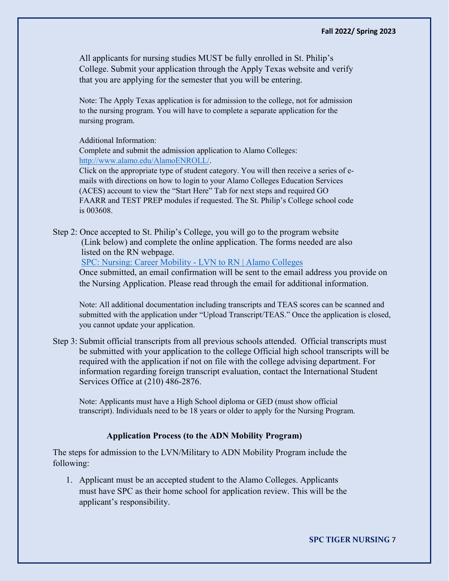All applicants for nursing studies MUST be fully enrolled in St. Philip's College. Submit your application through the Apply Texas website and verify that you are applying for the semester that you will be entering.

Note: The Apply Texas application is for admission to the college, not for admission to the nursing program. You will have to complete a separate application for the nursing program.

Additional Information:

Complete and submit the admission application to Alamo Colleges: [http://www.alamo.edu/AlamoENROLL/.](http://www.alamo.edu/AlamoENROLL/)

Click on the appropriate type of student category. You will then receive a series of emails with directions on how to login to your Alamo Colleges Education Services (ACES) account to view the "Start Here" Tab for next steps and required GO FAARR and TEST PREP modules if requested. The St. Philip's College school code is 003608.

Step 2: Once accepted to St. Philip's College, you will go to the program website (Link below) and complete the online application. The forms needed are also listed on the RN webpage.

[SPC: Nursing: Career Mobility -](https://www.alamo.edu/spc/academics/programs/lvn-to-adn-mobility/lvn-adn-mobility-program/) LVN to RN | Alamo Colleges

Once submitted, an email confirmation will be sent to the email address you provide on the Nursing Application. Please read through the email for additional information.

Note: All additional documentation including transcripts and TEAS scores can be scanned and submitted with the application under "Upload Transcript/TEAS." Once the application is closed, you cannot update your application.

Step 3: Submit official transcripts from all previous schools attended. Official transcripts must be submitted with your application to the college Official high school transcripts will be required with the application if not on file with the college advising department. For information regarding foreign transcript evaluation, contact the International Student Services Office at (210) 486-2876.

 Note: Applicants must have a High School diploma or GED (must show official transcript). Individuals need to be 18 years or older to apply for the Nursing Program.

## **Application Process (to the ADN Mobility Program)**

The steps for admission to the LVN/Military to ADN Mobility Program include the following:

1. Applicant must be an accepted student to the Alamo Colleges. Applicants must have SPC as their home school for application review. This will be the applicant's responsibility.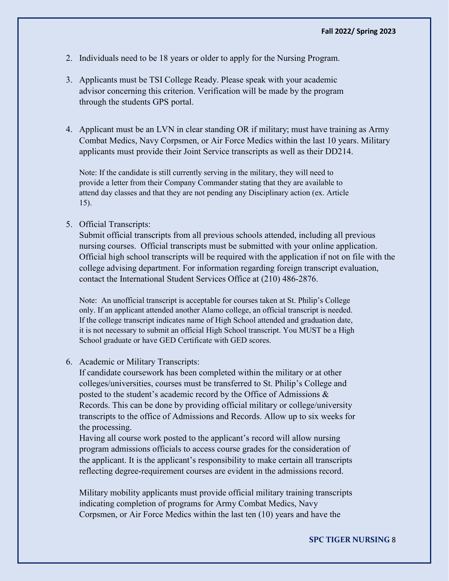- 2. Individuals need to be 18 years or older to apply for the Nursing Program.
- 3. Applicants must be TSI College Ready. Please speak with your academic advisor concerning this criterion. Verification will be made by the program through the students GPS portal.
- 4. Applicant must be an LVN in clear standing OR if military; must have training as Army Combat Medics, Navy Corpsmen, or Air Force Medics within the last 10 years. Military applicants must provide their Joint Service transcripts as well as their DD214.

Note: If the candidate is still currently serving in the military, they will need to provide a letter from their Company Commander stating that they are available to attend day classes and that they are not pending any Disciplinary action (ex. Article 15).

#### 5. Official Transcripts:

Submit official transcripts from all previous schools attended, including all previous nursing courses. Official transcripts must be submitted with your online application. Official high school transcripts will be required with the application if not on file with the college advising department. For information regarding foreign transcript evaluation, contact the International Student Services Office at (210) 486-2876.

Note: An unofficial transcript is acceptable for courses taken at St. Philip's College only. If an applicant attended another Alamo college, an official transcript is needed. If the college transcript indicates name of High School attended and graduation date, it is not necessary to submit an official High School transcript. You MUST be a High School graduate or have GED Certificate with GED scores.

#### 6. Academic or Military Transcripts:

If candidate coursework has been completed within the military or at other colleges/universities, courses must be transferred to St. Philip's College and posted to the student's academic record by the Office of Admissions & Records. This can be done by providing official military or college/university transcripts to the office of Admissions and Records. Allow up to six weeks for the processing.

Having all course work posted to the applicant's record will allow nursing program admissions officials to access course grades for the consideration of the applicant. It is the applicant's responsibility to make certain all transcripts reflecting degree-requirement courses are evident in the admissions record.

Military mobility applicants must provide official military training transcripts indicating completion of programs for Army Combat Medics, Navy Corpsmen, or Air Force Medics within the last ten (10) years and have the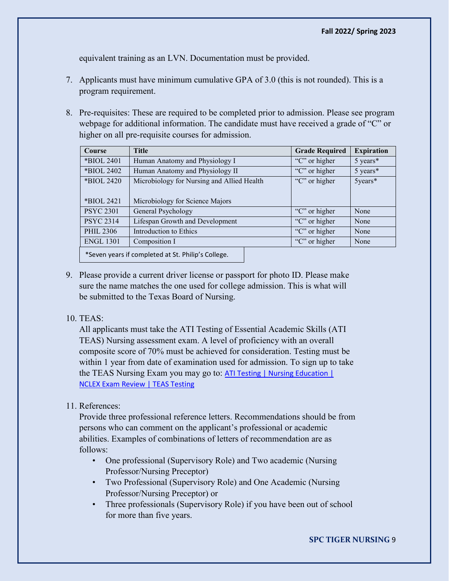equivalent training as an LVN. Documentation must be provided.

- 7. Applicants must have minimum cumulative GPA of 3.0 (this is not rounded). This is a program requirement.
- 8. Pre-requisites: These are required to be completed prior to admission. Please see program webpage for additional information. The candidate must have received a grade of "C" or higher on all pre-requisite courses for admission.

| <b>Course</b>                                      | <b>Title</b>                               | <b>Grade Required</b> | <b>Expiration</b> |  |
|----------------------------------------------------|--------------------------------------------|-----------------------|-------------------|--|
| *BIOL 2401                                         | Human Anatomy and Physiology I             | "C" or higher         | 5 years*          |  |
| *BIOL 2402                                         | Human Anatomy and Physiology II            | "C" or higher         | 5 years*          |  |
| *BIOL 2420                                         | Microbiology for Nursing and Allied Health | "C" or higher         | $5$ years*        |  |
|                                                    |                                            |                       |                   |  |
| *BIOL 2421                                         | Microbiology for Science Majors            |                       |                   |  |
| <b>PSYC 2301</b>                                   | General Psychology                         | "C" or higher         | None              |  |
| <b>PSYC 2314</b>                                   | Lifespan Growth and Development            | "C" or higher         | None              |  |
| <b>PHIL 2306</b>                                   | Introduction to Ethics                     | "C" or higher         | None              |  |
| <b>ENGL 1301</b>                                   | Composition I                              | "C" or higher         | None              |  |
| *Seven years if completed at St. Philip's College. |                                            |                       |                   |  |

9. Please provide a current driver license or passport for photo ID. Please make sure the name matches the one used for college admission. This is what will be submitted to the Texas Board of Nursing.

## 10. TEAS:

All applicants must take the ATI Testing of Essential Academic Skills (ATI TEAS) Nursing assessment exam. A level of proficiency with an overall composite score of 70% must be achieved for consideration. Testing must be within 1 year from date of examination used for admission. To sign up to take the TEAS Nursing Exam you may go to: ATI Testing | Nursing Education | [NCLEX Exam Review | TEAS Testing](https://www.atitesting.com/)

11. References:

Provide three professional reference letters. Recommendations should be from persons who can comment on the applicant's professional or academic abilities. Examples of combinations of letters of recommendation are as follows:

- One professional (Supervisory Role) and Two academic (Nursing Professor/Nursing Preceptor)
- Two Professional (Supervisory Role) and One Academic (Nursing Professor/Nursing Preceptor) or
- Three professionals (Supervisory Role) if you have been out of school for more than five years.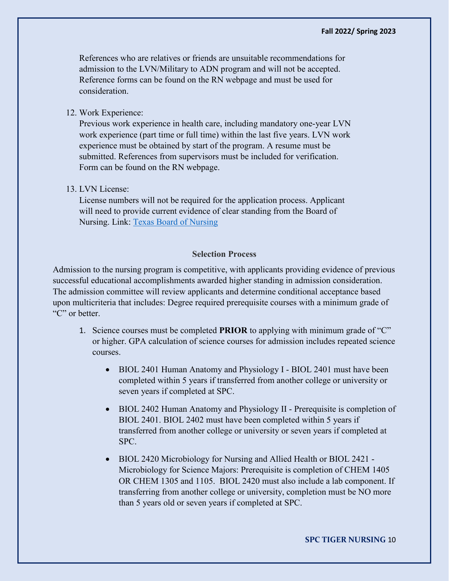References who are relatives or friends are unsuitable recommendations for admission to the LVN/Military to ADN program and will not be accepted. Reference forms can be found on the RN webpage and must be used for consideration.

# 12. Work Experience:

Previous work experience in health care, including mandatory one-year LVN work experience (part time or full time) within the last five years. LVN work experience must be obtained by start of the program. A resume must be submitted. References from supervisors must be included for verification. Form can be found on the RN webpage.

## 13. LVN License:

License numbers will not be required for the application process. Applicant will need to provide current evidence of clear standing from the Board of Nursing. Link: [Texas Board of Nursing](https://www.bon.texas.gov/TexasNursePortal/verifylicense.asp)

## **Selection Process**

Admission to the nursing program is competitive, with applicants providing evidence of previous successful educational accomplishments awarded higher standing in admission consideration. The admission committee will review applicants and determine conditional acceptance based upon multicriteria that includes: Degree required prerequisite courses with a minimum grade of "C" or better.

- 1. Science courses must be completed **PRIOR** to applying with minimum grade of "C" or higher. GPA calculation of science courses for admission includes repeated science courses.
	- BIOL 2401 Human Anatomy and Physiology I BIOL 2401 must have been completed within 5 years if transferred from another college or university or seven years if completed at SPC.
	- BIOL 2402 Human Anatomy and Physiology II Prerequisite is completion of BIOL 2401. BIOL 2402 must have been completed within 5 years if transferred from another college or university or seven years if completed at SPC.
	- BIOL 2420 Microbiology for Nursing and Allied Health or BIOL 2421 Microbiology for Science Majors: Prerequisite is completion of CHEM 1405 OR CHEM 1305 and 1105. BIOL 2420 must also include a lab component. If transferring from another college or university, completion must be NO more than 5 years old or seven years if completed at SPC.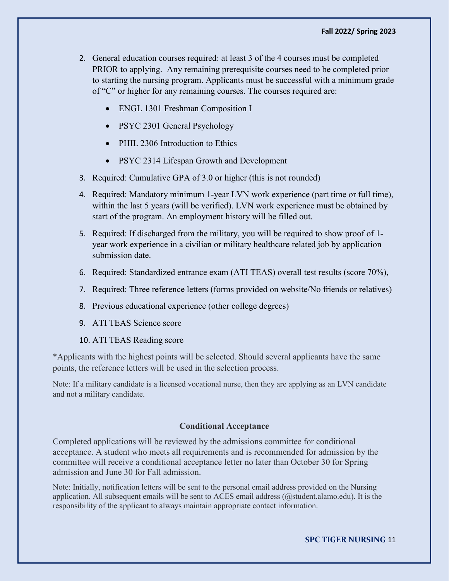- 2. General education courses required: at least 3 of the 4 courses must be completed PRIOR to applying. Any remaining prerequisite courses need to be completed prior to starting the nursing program. Applicants must be successful with a minimum grade of "C" or higher for any remaining courses. The courses required are:
	- ENGL 1301 Freshman Composition I
	- PSYC 2301 General Psychology
	- PHIL 2306 Introduction to Ethics
	- PSYC 2314 Lifespan Growth and Development
- 3. Required: Cumulative GPA of 3.0 or higher (this is not rounded)
- 4. Required: Mandatory minimum 1-year LVN work experience (part time or full time), within the last 5 years (will be verified). LVN work experience must be obtained by start of the program. An employment history will be filled out.
- 5. Required: If discharged from the military, you will be required to show proof of 1 year work experience in a civilian or military healthcare related job by application submission date.
- 6. Required: Standardized entrance exam (ATI TEAS) overall test results (score 70%),
- 7. Required: Three reference letters (forms provided on website/No friends or relatives)
- 8. Previous educational experience (other college degrees)
- 9. ATI TEAS Science score
- 10. ATI TEAS Reading score

\*Applicants with the highest points will be selected. Should several applicants have the same points, the reference letters will be used in the selection process.

Note: If a military candidate is a licensed vocational nurse, then they are applying as an LVN candidate and not a military candidate.

#### **Conditional Acceptance**

Completed applications will be reviewed by the admissions committee for conditional acceptance. A student who meets all requirements and is recommended for admission by the committee will receive a conditional acceptance letter no later than October 30 for Spring admission and June 30 for Fall admission.

Note: Initially, notification letters will be sent to the personal email address provided on the Nursing application. All subsequent emails will be sent to ACES email address (@student.alamo.edu). It is the responsibility of the applicant to always maintain appropriate contact information.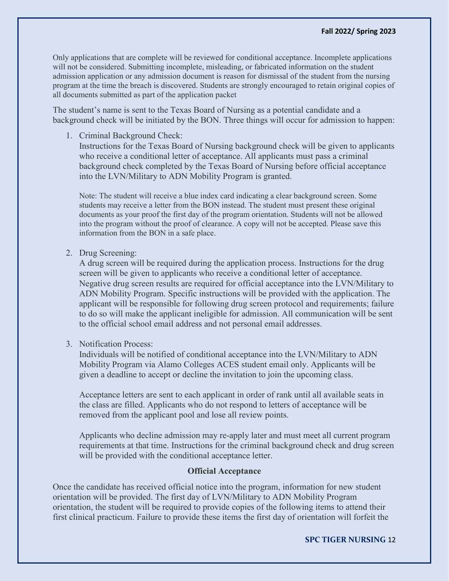Only applications that are complete will be reviewed for conditional acceptance. Incomplete applications will not be considered. Submitting incomplete, misleading, or fabricated information on the student admission application or any admission document is reason for dismissal of the student from the nursing program at the time the breach is discovered. Students are strongly encouraged to retain original copies of all documents submitted as part of the application packet

The student's name is sent to the Texas Board of Nursing as a potential candidate and a background check will be initiated by the BON. Three things will occur for admission to happen:

1. Criminal Background Check:

Instructions for the Texas Board of Nursing background check will be given to applicants who receive a conditional letter of acceptance. All applicants must pass a criminal background check completed by the Texas Board of Nursing before official acceptance into the LVN/Military to ADN Mobility Program is granted.

Note: The student will receive a blue index card indicating a clear background screen. Some students may receive a letter from the BON instead. The student must present these original documents as your proof the first day of the program orientation. Students will not be allowed into the program without the proof of clearance. A copy will not be accepted. Please save this information from the BON in a safe place.

2. Drug Screening:

A drug screen will be required during the application process. Instructions for the drug screen will be given to applicants who receive a conditional letter of acceptance. Negative drug screen results are required for official acceptance into the LVN/Military to ADN Mobility Program. Specific instructions will be provided with the application. The applicant will be responsible for following drug screen protocol and requirements; failure to do so will make the applicant ineligible for admission. All communication will be sent to the official school email address and not personal email addresses.

3. Notification Process:

Individuals will be notified of conditional acceptance into the LVN/Military to ADN Mobility Program via Alamo Colleges ACES student email only. Applicants will be given a deadline to accept or decline the invitation to join the upcoming class.

Acceptance letters are sent to each applicant in order of rank until all available seats in the class are filled. Applicants who do not respond to letters of acceptance will be removed from the applicant pool and lose all review points.

Applicants who decline admission may re-apply later and must meet all current program requirements at that time. Instructions for the criminal background check and drug screen will be provided with the conditional acceptance letter.

#### **Official Acceptance**

Once the candidate has received official notice into the program, information for new student orientation will be provided. The first day of LVN/Military to ADN Mobility Program orientation, the student will be required to provide copies of the following items to attend their first clinical practicum. Failure to provide these items the first day of orientation will forfeit the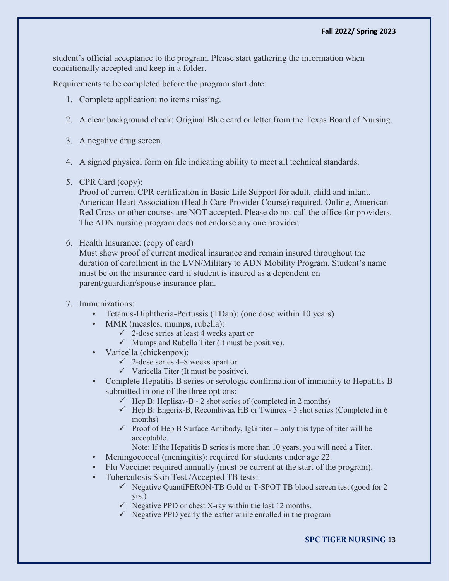student's official acceptance to the program. Please start gathering the information when conditionally accepted and keep in a folder.

Requirements to be completed before the program start date:

- 1. Complete application: no items missing.
- 2. A clear background check: Original Blue card or letter from the Texas Board of Nursing.
- 3. A negative drug screen.
- 4. A signed physical form on file indicating ability to meet all technical standards.
- 5. CPR Card (copy):

Proof of current CPR certification in Basic Life Support for adult, child and infant. American Heart Association (Health Care Provider Course) required. Online, American Red Cross or other courses are NOT accepted. Please do not call the office for providers. The ADN nursing program does not endorse any one provider.

6. Health Insurance: (copy of card)

Must show proof of current medical insurance and remain insured throughout the duration of enrollment in the LVN/Military to ADN Mobility Program. Student's name must be on the insurance card if student is insured as a dependent on parent/guardian/spouse insurance plan.

- 7. Immunizations:
	- Tetanus-Diphtheria-Pertussis (TDap): (one dose within 10 years)
	- MMR (measles, mumps, rubella):
		- $\checkmark$  2-dose series at least 4 weeks apart or
		- $\checkmark$  Mumps and Rubella Titer (It must be positive).
	- Varicella (chickenpox):
		- $\checkmark$  2-dose series 4–8 weeks apart or
		- $\checkmark$  Varicella Titer (It must be positive).
	- Complete Hepatitis B series or serologic confirmation of immunity to Hepatitis B submitted in one of the three options:
		- $\checkmark$  Hep B: Heplisav-B 2 shot series of (completed in 2 months)
		- $\checkmark$  Hep B: Engerix-B, Recombivax HB or Twinrex 3 shot series (Completed in 6 months)
		- Proof of Hep B Surface Antibody, IgG titer only this type of titer will be acceptable.
			- Note: If the Hepatitis B series is more than 10 years, you will need a Titer.
	- Meningococcal (meningitis): required for students under age 22.
	- Flu Vaccine: required annually (must be current at the start of the program).
	- Tuberculosis Skin Test /Accepted TB tests:
		- $\checkmark$  Negative QuantiFERON-TB Gold or T-SPOT TB blood screen test (good for 2 yrs.)
		- $\checkmark$  Negative PPD or chest X-ray within the last 12 months.
		- $\checkmark$  Negative PPD yearly thereafter while enrolled in the program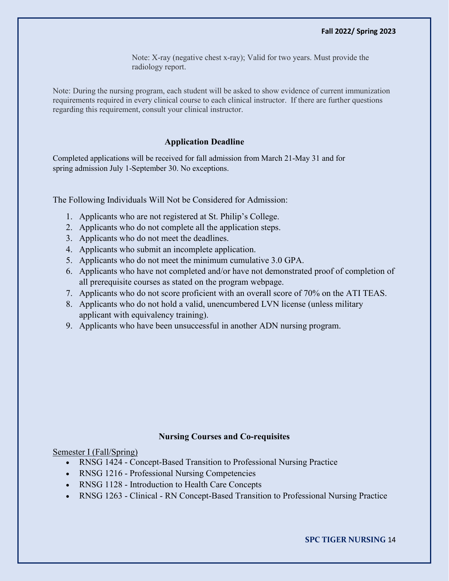Note: X-ray (negative chest x-ray); Valid for two years. Must provide the radiology report.

Note: During the nursing program, each student will be asked to show evidence of current immunization requirements required in every clinical course to each clinical instructor. If there are further questions regarding this requirement, consult your clinical instructor.

## **Application Deadline**

Completed applications will be received for fall admission from March 21-May 31 and for spring admission July 1-September 30. No exceptions.

The Following Individuals Will Not be Considered for Admission:

- 1. Applicants who are not registered at St. Philip's College.
- 2. Applicants who do not complete all the application steps.
- 3. Applicants who do not meet the deadlines.
- 4. Applicants who submit an incomplete application.
- 5. Applicants who do not meet the minimum cumulative 3.0 GPA.
- 6. Applicants who have not completed and/or have not demonstrated proof of completion of all prerequisite courses as stated on the program webpage.
- 7. Applicants who do not score proficient with an overall score of 70% on the ATI TEAS.
- 8. Applicants who do not hold a valid, unencumbered LVN license (unless military applicant with equivalency training).
- 9. Applicants who have been unsuccessful in another ADN nursing program.

### **Nursing Courses and Co-requisites**

Semester I (Fall/Spring)

- RNSG 1424 Concept-Based Transition to Professional Nursing Practice
- RNSG 1216 Professional Nursing Competencies
- RNSG 1128 Introduction to Health Care Concepts
- RNSG 1263 Clinical RN Concept-Based Transition to Professional Nursing Practice